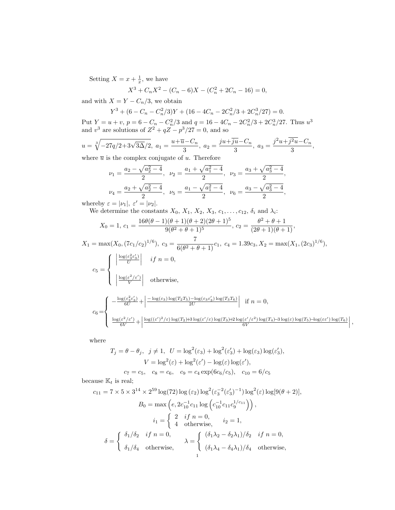Setting  $X = x + \frac{1}{x}$ , we have

$$
X^{3} + C_{n}X^{2} - (C_{n} - 6)X - (C_{n}^{2} + 2C_{n} - 16) = 0,
$$

and with  $X = Y - C_n/3$ , we obtain

$$
Y^3 + (6 - C_n - C_n^2/3)Y + (16 - 4C_n - 2C_n^2/3 + 2C_n^3/27) = 0.
$$

Put  $Y = u + v$ ,  $p = 6 - C_n - C_n^2/3$  and  $q = 16 - 4C_n - 2C_n^2/3 + 2C_n^3/27$ . Thus  $u^3$ and  $v^3$  are solutions of  $Z^2 + qZ - p^3/27 = 0$ , and so

$$
u = \sqrt[3]{-27q/2 + 3\sqrt{3\Delta}/2}, \ a_1 = \frac{u + \overline{u} - C_n}{3}, \ a_2 = \frac{ju + \overline{j}\overline{u} - C_n}{3}, \ a_3 = \frac{j^2u + \overline{j^2u} - C_n}{3},
$$

where  $\overline{u}$  is the complex conjugate of u. Therefore

$$
\nu_1 = \frac{a_2 - \sqrt{a_2^2 - 4}}{2}, \quad \nu_2 = \frac{a_1 + \sqrt{a_1^2 - 4}}{2}, \quad \nu_3 = \frac{a_3 + \sqrt{a_3^2 - 4}}{2},
$$
  

$$
\nu_4 = \frac{a_2 + \sqrt{a_2^2 - 4}}{2}, \quad \nu_5 = \frac{a_1 - \sqrt{a_1^2 - 4}}{2}, \quad \nu_6 = \frac{a_3 - \sqrt{a_3^2 - 4}}{2},
$$

whereby  $\varepsilon = |\nu_1|, \; \varepsilon' = |\nu_2|.$ 

We determine the constants  $X_0, X_1, X_2, X_3, c_1, \ldots, c_{12}, \delta_i$  and  $\lambda_i$ :

$$
X_0 = 1, c_1 = \frac{16\theta(\theta - 1)(\theta + 1)(\theta + 2)(2\theta + 1)^5}{9(\theta^2 + \theta + 1)^5}, c_2 = \frac{\theta^2 + \theta + 1}{(2\theta + 1)(\theta + 1)},
$$

$$
X_1 = \max(X_0, (7c_1/c_2)^{1/6}), c_3 = \frac{7}{6(\theta^2 + \theta + 1)}c_1, c_4 = 1.39c_3, X_2 = \max(X_1, (2c_3)^{1/6}),
$$

$$
c_5 = \begin{cases} \left| \frac{\log(\varepsilon_3^2 \varepsilon_3')}{U} \right| & \text{if } n = 0, \\ \left| \frac{\log(\varepsilon^2/\varepsilon')}{V} \right| & \text{otherwise,} \end{cases}
$$
\n
$$
c_6 = \begin{cases} -\frac{\log(\varepsilon_3^2 \varepsilon_3')}{6U} + \left| \frac{-\log(\varepsilon_3) \log(T_2 T_5) - \log(\varepsilon_3 \varepsilon_3') \log(T_3 T_6)}{2U} \right| & \text{if } n = 0, \\ \frac{\log(\varepsilon^2/\varepsilon')}{6V} + \left| \frac{\log((\varepsilon')^2/\varepsilon) \log(T_2) + 3\log(\varepsilon'/\varepsilon) \log(T_3) + 2\log(\varepsilon'/\varepsilon^2) \log(T_4) - 3\log(\varepsilon) \log(T_5) - \log(\varepsilon \varepsilon') \log(T_6)}{6V} \right|,
$$

where

$$
T_j = \theta - \theta_j, \ \ j \neq 1, \ \ U = \log^2(\varepsilon_3) + \log^2(\varepsilon'_3) + \log(\varepsilon_3) \log(\varepsilon'_3),
$$

$$
V = \log^2(\varepsilon) + \log^2(\varepsilon') - \log(\varepsilon) \log(\varepsilon'),
$$

$$
c_7 = c_5, \ \ c_8 = c_6, \ \ c_9 = c_4 \exp(6c_6/c_5), \ \ c_{10} = 6/c_5
$$

because  $\mathbb{K}_t$  is real;

$$
c_{11} = 7 \times 5 \times 3^{14} \times 2^{59} \log(72) \log(\varepsilon_2) \log^2(\varepsilon_3^{-2} (\varepsilon_3')^{-1}) \log^2(\varepsilon) \log[9(\theta + 2)],
$$
  
\n
$$
B_0 = \max\left(e, 2c_{10}^{-1} c_{11} \log\left(c_{10}^{-1} c_{11} c_9^{1/c_{11}}\right)\right),
$$
  
\n
$$
i_1 = \begin{cases} 2 & \text{if } n = 0, \\ 4 & \text{otherwise,} \end{cases} \quad i_2 = 1,
$$
  
\n
$$
\delta = \begin{cases} \delta_1/\delta_2 & \text{if } n = 0, \\ \delta_1/\delta_4 & \text{otherwise,} \end{cases} \quad \lambda = \begin{cases} (\delta_1 \lambda_2 - \delta_2 \lambda_1)/\delta_2 & \text{if } n = 0, \\ (\delta_1 \lambda_4 - \delta_4 \lambda_1)/\delta_4 & \text{otherwise,} \end{cases}
$$